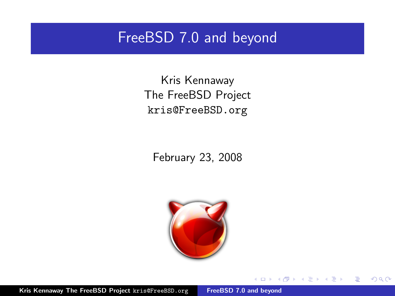#### FreeBSD 7.0 and beyond

Kris Kennaway The FreeBSD Project kris@FreeBSD.org

February 23, 2008



 $4.171 +$ 

A  $\sim$  <span id="page-0-0"></span> $2Q$ 

∍

Kris Kennaway The FreeBSD Project kris@FreeBSD.org [FreeBSD 7.0 and beyond](#page-29-0)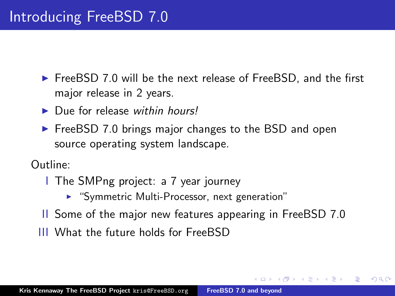- $\triangleright$  FreeBSD 7.0 will be the next release of FreeBSD, and the first major release in 2 years.
- $\blacktriangleright$  Due for release within hours!
- $\triangleright$  FreeBSD 7.0 brings major changes to the BSD and open source operating system landscape.

Outline:

- I The SMPng project: a 7 year journey
	- ▶ "Symmetric Multi-Processor, next generation"
- II Some of the major new features appearing in FreeBSD 7.0

へのへ

III What the future holds for FreeBSD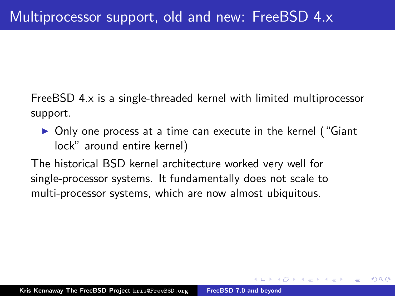FreeBSD 4.x is a single-threaded kernel with limited multiprocessor support.

• Only one process at a time can execute in the kernel ("Giant" lock" around entire kernel)

 $\Omega$ 

The historical BSD kernel architecture worked very well for single-processor systems. It fundamentally does not scale to multi-processor systems, which are now almost ubiquitous.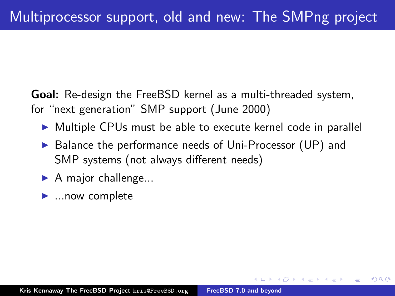Goal: Re-design the FreeBSD kernel as a multi-threaded system, for "next generation" SMP support (June 2000)

▶ Multiple CPUs must be able to execute kernel code in parallel

- $\triangleright$  Balance the performance needs of Uni-Processor (UP) and SMP systems (not always different needs)
- $\blacktriangleright$  A major challenge...
- $\blacktriangleright$  ... now complete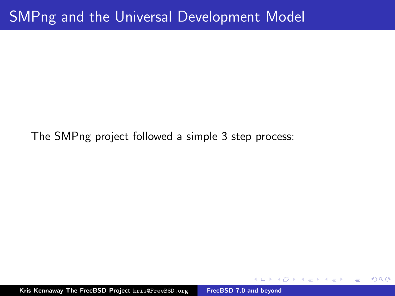The SMPng project followed a simple 3 step process:

Kris Kennaway The FreeBSD Project kris@FreeBSD.org [FreeBSD 7.0 and beyond](#page-0-0)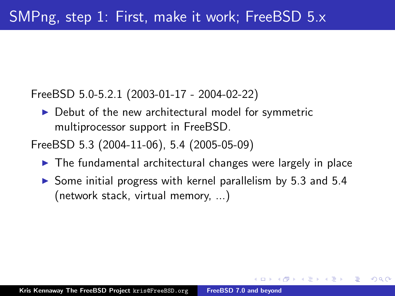FreeBSD 5.0-5.2.1 (2003-01-17 - 2004-02-22)

 $\triangleright$  Debut of the new architectural model for symmetric multiprocessor support in FreeBSD.

FreeBSD 5.3 (2004-11-06), 5.4 (2005-05-09)

- $\blacktriangleright$  The fundamental architectural changes were largely in place
- $\triangleright$  Some initial progress with kernel parallelism by 5.3 and 5.4 (network stack, virtual memory, ...)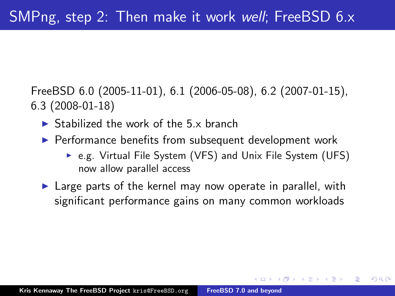FreeBSD 6.0 (2005-11-01), 6.1 (2006-05-08), 6.2 (2007-01-15), 6.3 (2008-01-18)

- $\triangleright$  Stabilized the work of the 5 x branch
- $\blacktriangleright$  Performance benefits from subsequent development work
	- ► e.g. Virtual File System (VFS) and Unix File System (UFS) now allow parallel access

へのへ

 $\blacktriangleright$  Large parts of the kernel may now operate in parallel, with significant performance gains on many common workloads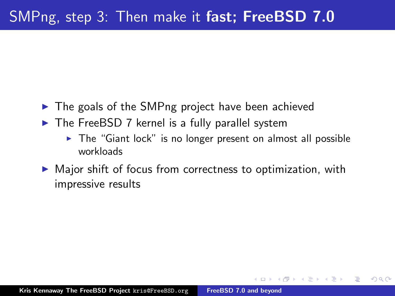- $\triangleright$  The goals of the SMPng project have been achieved
- $\triangleright$  The FreeBSD 7 kernel is a fully parallel system
	- $\triangleright$  The "Giant lock" is no longer present on almost all possible workloads

へのへ

 $\triangleright$  Major shift of focus from correctness to optimization, with impressive results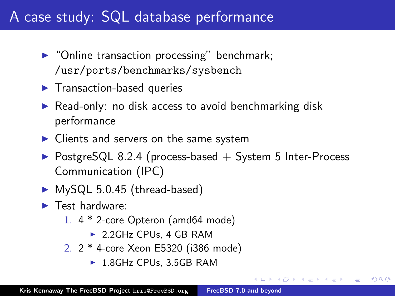# A case study: SQL database performance

- $\triangleright$  "Online transaction processing" benchmark; /usr/ports/benchmarks/sysbench
- $\blacktriangleright$  Transaction-based queries
- $\triangleright$  Read-only: no disk access to avoid benchmarking disk performance
- $\blacktriangleright$  Clients and servers on the same system
- $\triangleright$  PostgreSQL 8.2.4 (process-based  $+$  System 5 Inter-Process Communication (IPC)

- $\blacktriangleright$  MySQL 5.0.45 (thread-based)
- $\blacktriangleright$  Test hardware:
	- 1. 4 \* 2-core Opteron (amd64 mode)
		- $\triangleright$  2.2GHz CPUs, 4 GB RAM
	- 2. 2 \* 4-core Xeon E5320 (i386 mode)
		- ► 1.8GHz CPUs, 3.5GB RAM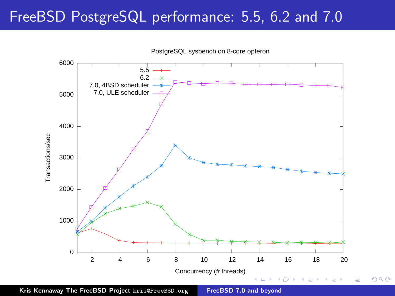## FreeBSD PostgreSQL performance: 5.5, 6.2 and 7.0



PostgreSQL sysbench on 8-core opteron

Kris Kennaway The FreeBSD Project kris@FreeBSD.org [FreeBSD 7.0 and beyond](#page-0-0)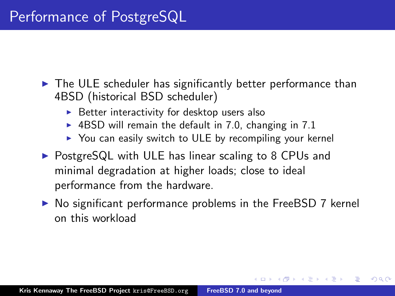- $\triangleright$  The ULE scheduler has significantly better performance than 4BSD (historical BSD scheduler)
	- $\triangleright$  Better interactivity for desktop users also
	- $\blacktriangleright$  4BSD will remain the default in 7.0, changing in 7.1
	- $\triangleright$  You can easily switch to ULE by recompiling your kernel
- $\triangleright$  PostgreSQL with ULE has linear scaling to 8 CPUs and minimal degradation at higher loads; close to ideal performance from the hardware.
- $\triangleright$  No significant performance problems in the FreeBSD 7 kernel on this workload

∽≏ດ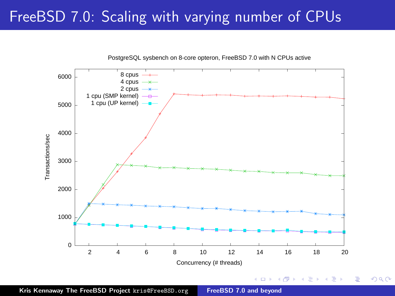# FreeBSD 7.0: Scaling with varying number of CPUs



PostgreSQL sysbench on 8-core opteron, FreeBSD 7.0 with N CPUs active

Kris Kennaway The FreeBSD Project kris@FreeBSD.org [FreeBSD 7.0 and beyond](#page-0-0)

÷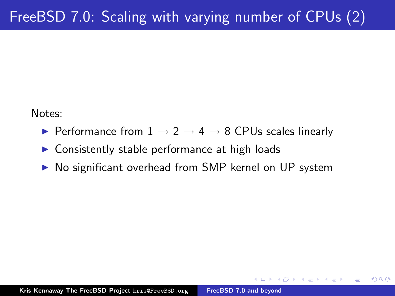Notes:

- $\triangleright$  Performance from 1  $\rightarrow$  2  $\rightarrow$  4  $\rightarrow$  8 CPUs scales linearly
- $\triangleright$  Consistently stable performance at high loads
- ▶ No significant overhead from SMP kernel on UP system

 $\Omega$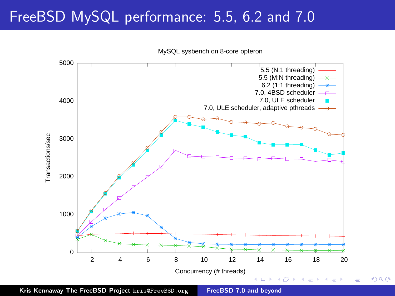# FreeBSD MySQL performance: 5.5, 6.2 and 7.0



MySQL sysbench on 8-core opteron

Kris Kennaway The FreeBSD Project kris@FreeBSD.org [FreeBSD 7.0 and beyond](#page-0-0)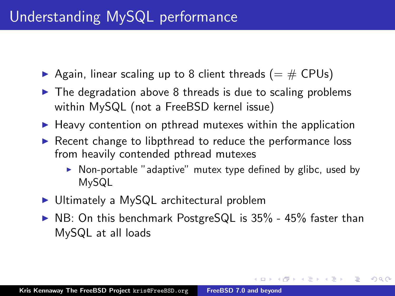- Again, linear scaling up to 8 client threads ( $=$  # CPUs)
- $\triangleright$  The degradation above 8 threads is due to scaling problems within MySQL (not a FreeBSD kernel issue)
- $\blacktriangleright$  Heavy contention on pthread mutexes within the application
- $\triangleright$  Recent change to libpthread to reduce the performance loss from heavily contended pthread mutexes
	- $\triangleright$  Non-portable "adaptive" mutex type defined by glibc, used by MySQL

<span id="page-14-0"></span>メロメ メタメ メモメ メモメ

- $\triangleright$  Ultimately a MySQL architectural problem
- $\triangleright$  NB: On this benchmark PostgreSQL is 35% 45% faster than MySQL at all loads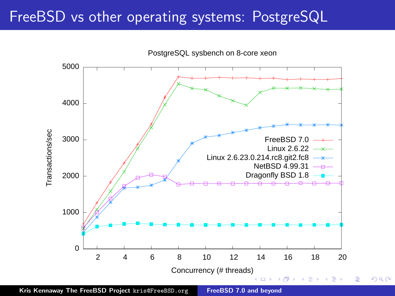### FreeBSD vs other operating systems: PostgreSQL



<span id="page-15-0"></span> $2Q$ 

Kris Kennaway The FreeBSD Project kris@FreeBSD.org [FreeBSD 7.0 and beyond](#page-0-0)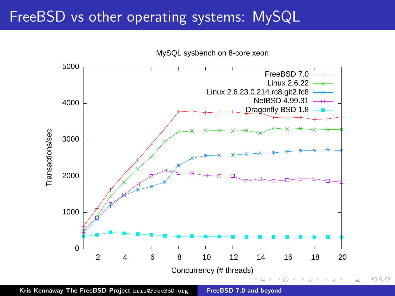### FreeBSD vs other operating systems: MySQL

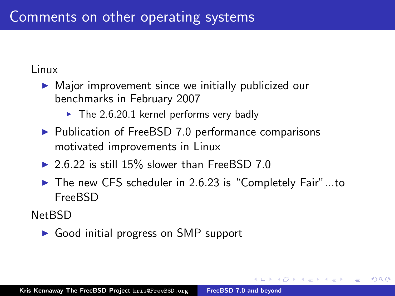Linux

- $\triangleright$  Major improvement since we initially publicized our benchmarks in February 2007
	- $\blacktriangleright$  The 2.6.20.1 kernel performs very badly
- $\blacktriangleright$  Publication of FreeBSD 7.0 performance comparisons motivated improvements in Linux
- $\triangleright$  2.6.22 is still 15% slower than FreeBSD 7.0
- ▶ The new CFS scheduler in 2.6.23 is "Completely Fair"...to FreeBSD

へのへ

NetBSD

 $\triangleright$  Good initial progress on SMP support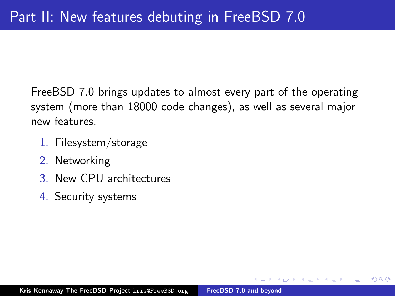FreeBSD 7.0 brings updates to almost every part of the operating system (more than 18000 code changes), as well as several major new features.

- 1. Filesystem/storage
- 2. Networking
- 3. New CPU architectures
- 4. Security systems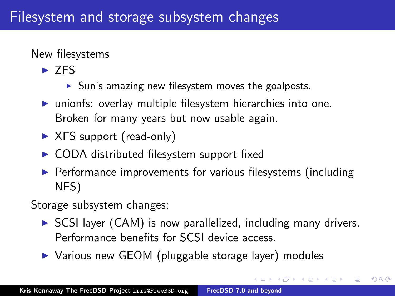New filesystems

- $\triangleright$  7FS
	- $\triangleright$  Sun's amazing new filesystem moves the goalposts.
- $\blacktriangleright$  unionfs: overlay multiple filesystem hierarchies into one. Broken for many years but now usable again.
- $\triangleright$  XFS support (read-only)
- $\triangleright$  CODA distributed filesystem support fixed
- $\triangleright$  Performance improvements for various filesystems (including NFS)

Storage subsystem changes:

 $\triangleright$  SCSI layer (CAM) is now parallelized, including many drivers. Performance benefits for SCSI device access.

 $4.50 \times 4.75 \times 4.75 \times$ 

へのへ

▶ Various new GEOM (pluggable storage layer) modules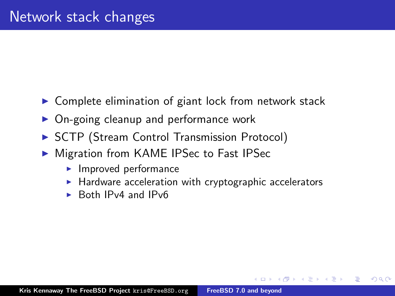- $\triangleright$  Complete elimination of giant lock from network stack
- $\triangleright$  On-going cleanup and performance work
- ▶ SCTP (Stream Control Transmission Protocol)
- ▶ Migration from KAME IPSec to Fast IPSec
	- $\blacktriangleright$  Improved performance
	- $\blacktriangleright$  Hardware acceleration with cryptographic accelerators

へのへ

 $\triangleright$  Both IPv4 and IPv6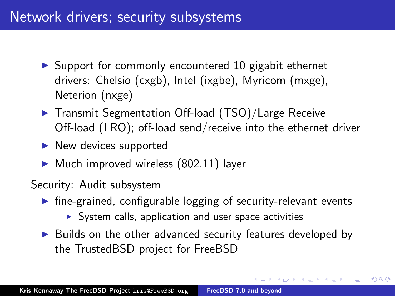### Network drivers; security subsystems

- $\triangleright$  Support for commonly encountered 10 gigabit ethernet drivers: Chelsio (cxgb), Intel (ixgbe), Myricom (mxge), Neterion (nxge)
- ▶ Transmit Segmentation Off-load (TSO)/Large Receive Off-load (LRO); off-load send/receive into the ethernet driver
- $\blacktriangleright$  New devices supported
- $\blacktriangleright$  Much improved wireless (802.11) layer

Security: Audit subsystem

- $\triangleright$  fine-grained, configurable logging of security-relevant events
	- $\triangleright$  System calls, application and user space activities
- $\triangleright$  Builds on the other advanced security features developed by the TrustedBSD project for FreeBSD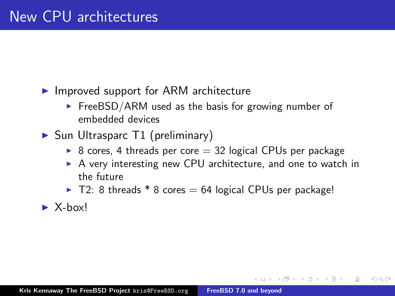- $\blacktriangleright$  Improved support for ARM architecture
	- $\triangleright$  FreeBSD/ARM used as the basis for growing number of embedded devices
- $\triangleright$  Sun Ultrasparc T1 (preliminary)
	- $\triangleright$  8 cores, 4 threads per core  $=$  32 logical CPUs per package
	- $\triangleright$  A very interesting new CPU architecture, and one to watch in the future

- $\blacktriangleright$  T2: 8 threads  $*$  8 cores = 64 logical CPUs per package!
- $\blacktriangleright$  X-hox!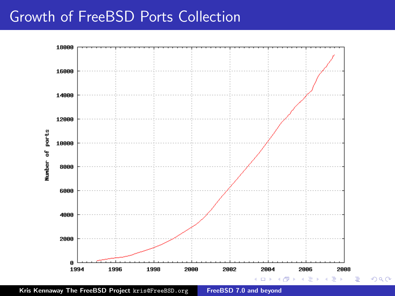#### Growth of FreeBSD Ports Collection



Kris Kennaway The FreeBSD Project kris@FreeBSD.org [FreeBSD 7.0 and beyond](#page-0-0)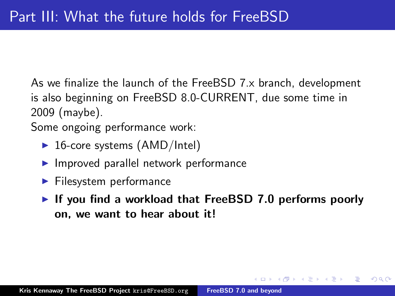As we finalize the launch of the FreeBSD 7.x branch, development is also beginning on FreeBSD 8.0-CURRENT, due some time in 2009 (maybe).

Some ongoing performance work:

- $\triangleright$  16-core systems (AMD/Intel)
- $\blacktriangleright$  Improved parallel network performance
- $\blacktriangleright$  Filesystem performance
- If you find a workload that FreeBSD 7.0 performs poorly on, we want to hear about it!

∽≏ດ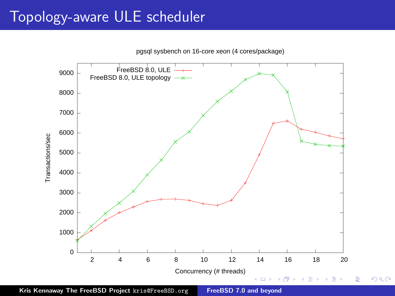# Topology-aware ULE scheduler



Kris Kennaway The FreeBSD Project kris@FreeBSD.org [FreeBSD 7.0 and beyond](#page-0-0)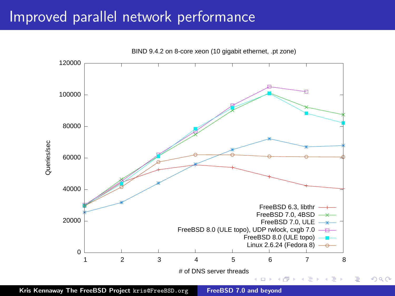### Improved parallel network performance



Kris Kennaway The FreeBSD Project kris@FreeBSD.org [FreeBSD 7.0 and beyond](#page-0-0)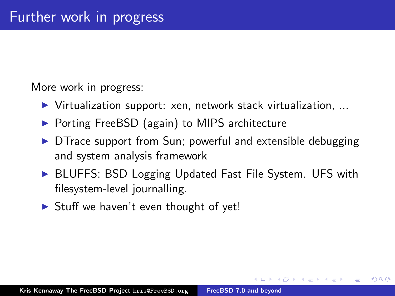More work in progress:

- $\triangleright$  Virtualization support: xen, network stack virtualization, ...
- ▶ Porting FreeBSD (again) to MIPS architecture
- $\triangleright$  DTrace support from Sun; powerful and extensible debugging and system analysis framework
- ▶ BLUFFS: BSD Logging Updated Fast File System. UFS with filesystem-level journalling.

へのへ

 $\triangleright$  Stuff we haven't even thought of yet!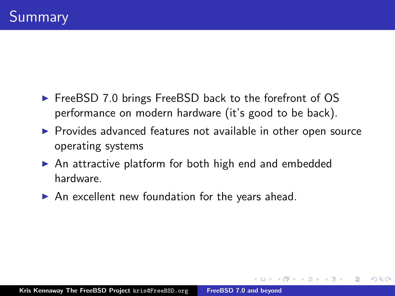- ► FreeBSD 7.0 brings FreeBSD back to the forefront of OS performance on modern hardware (it's good to be back).
- $\triangleright$  Provides advanced features not available in other open source operating systems

- $\triangleright$  An attractive platform for both high end and embedded hardware.
- $\triangleright$  An excellent new foundation for the years ahead.